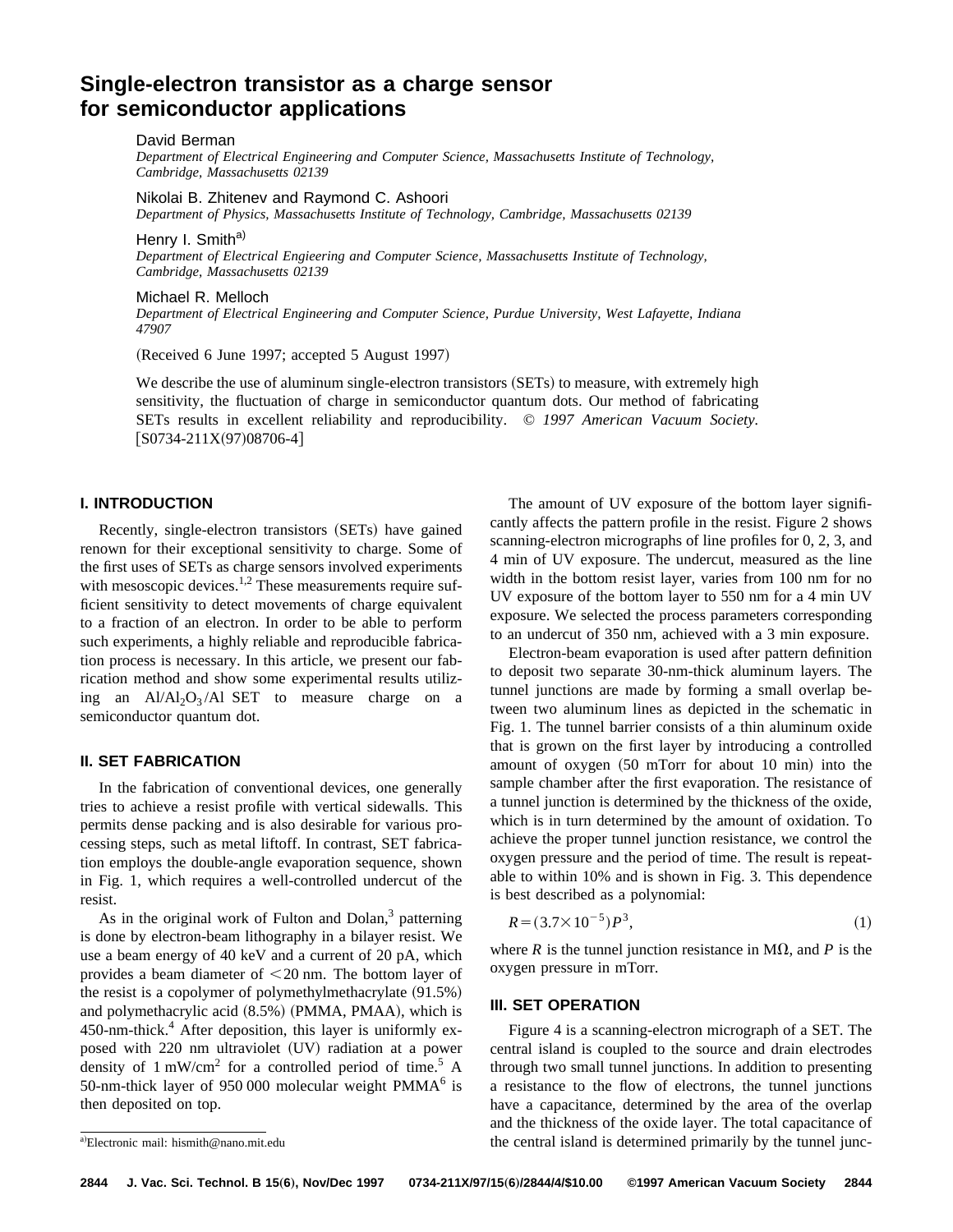# **Single-electron transistor as a charge sensor for semiconductor applications**

David Berman

*Department of Electrical Engineering and Computer Science, Massachusetts Institute of Technology, Cambridge, Massachusetts 02139*

Nikolai B. Zhitenev and Raymond C. Ashoori *Department of Physics, Massachusetts Institute of Technology, Cambridge, Massachusetts 02139*

Henry I. Smith<sup>a)</sup>

*Department of Electrical Engieering and Computer Science, Massachusetts Institute of Technology, Cambridge, Massachusetts 02139*

## Michael R. Melloch

*Department of Electrical Engineering and Computer Science, Purdue University, West Lafayette, Indiana 47907*

 $(Received 6 June 1997; accepted 5 August 1997)$ 

We describe the use of aluminum single-electron transistors  $(SETs)$  to measure, with extremely high sensitivity, the fluctuation of charge in semiconductor quantum dots. Our method of fabricating SETs results in excellent reliability and reproducibility. © *1997 American Vacuum Society.*  $[S0734-211X(97)08706-4]$ 

## **I. INTRODUCTION**

Recently, single-electron transistors (SETs) have gained renown for their exceptional sensitivity to charge. Some of the first uses of SETs as charge sensors involved experiments with mesoscopic devices.<sup>1,2</sup> These measurements require sufficient sensitivity to detect movements of charge equivalent to a fraction of an electron. In order to be able to perform such experiments, a highly reliable and reproducible fabrication process is necessary. In this article, we present our fabrication method and show some experimental results utilizing an  $A1/A1_2O_3/A1$  SET to measure charge on a semiconductor quantum dot.

# **II. SET FABRICATION**

In the fabrication of conventional devices, one generally tries to achieve a resist profile with vertical sidewalls. This permits dense packing and is also desirable for various processing steps, such as metal liftoff. In contrast, SET fabrication employs the double-angle evaporation sequence, shown in Fig. 1, which requires a well-controlled undercut of the resist.

As in the original work of Fulton and Dolan, $3$  patterning is done by electron-beam lithography in a bilayer resist. We use a beam energy of 40 keV and a current of 20 pA, which provides a beam diameter of  $<$  20 nm. The bottom layer of the resist is a copolymer of polymethylmethacrylate  $(91.5%)$ and polymethacrylic acid  $(8.5%)$  (PMMA, PMAA), which is 450-nm-thick.<sup>4</sup> After deposition, this layer is uniformly exposed with 220 nm ultraviolet (UV) radiation at a power density of  $1 \text{ mW/cm}^2$  for a controlled period of time.<sup>5</sup> A 50-nm-thick layer of 950 000 molecular weight  $PMMA<sup>6</sup>$  is then deposited on top.

The amount of UV exposure of the bottom layer significantly affects the pattern profile in the resist. Figure 2 shows scanning-electron micrographs of line profiles for 0, 2, 3, and 4 min of UV exposure. The undercut, measured as the line width in the bottom resist layer, varies from 100 nm for no UV exposure of the bottom layer to 550 nm for a 4 min UV exposure. We selected the process parameters corresponding to an undercut of 350 nm, achieved with a 3 min exposure.

Electron-beam evaporation is used after pattern definition to deposit two separate 30-nm-thick aluminum layers. The tunnel junctions are made by forming a small overlap between two aluminum lines as depicted in the schematic in Fig. 1. The tunnel barrier consists of a thin aluminum oxide that is grown on the first layer by introducing a controlled amount of oxygen  $(50$  mTorr for about 10 min) into the sample chamber after the first evaporation. The resistance of a tunnel junction is determined by the thickness of the oxide, which is in turn determined by the amount of oxidation. To achieve the proper tunnel junction resistance, we control the oxygen pressure and the period of time. The result is repeatable to within 10% and is shown in Fig. 3. This dependence is best described as a polynomial:

$$
R = (3.7 \times 10^{-5})P^3,\tag{1}
$$

where *R* is the tunnel junction resistance in  $M\Omega$ , and *P* is the oxygen pressure in mTorr.

#### **III. SET OPERATION**

Figure 4 is a scanning-electron micrograph of a SET. The central island is coupled to the source and drain electrodes through two small tunnel junctions. In addition to presenting a resistance to the flow of electrons, the tunnel junctions have a capacitance, determined by the area of the overlap and the thickness of the oxide layer. The total capacitance of the central island is determined primarily by the tunnel junc-

<sup>&</sup>lt;sup>a)</sup>Electronic mail: hismith@nano.mit.edu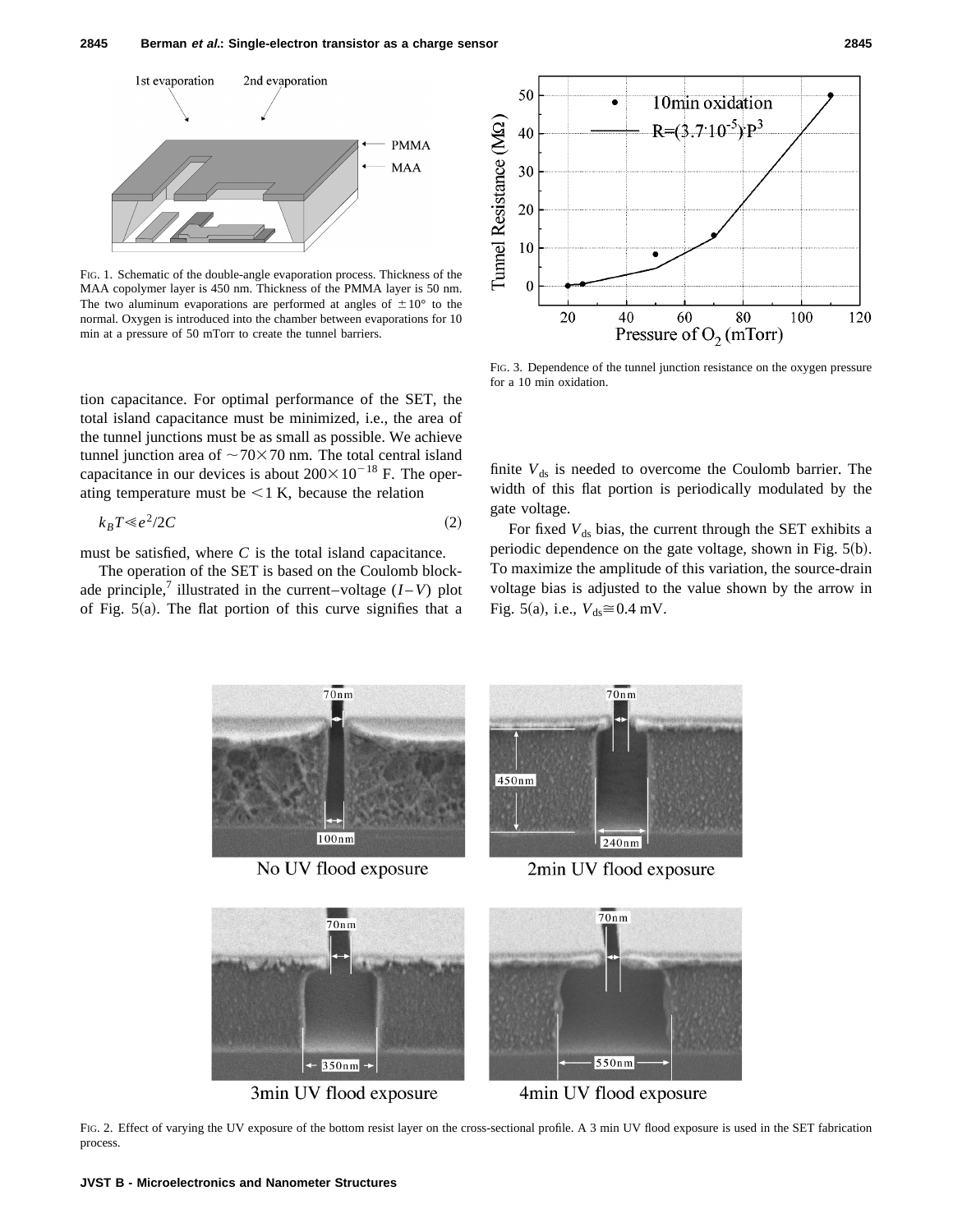

FIG. 1. Schematic of the double-angle evaporation process. Thickness of the MAA copolymer layer is 450 nm. Thickness of the PMMA layer is 50 nm. The two aluminum evaporations are performed at angles of  $\pm 10^{\circ}$  to the normal. Oxygen is introduced into the chamber between evaporations for 10 min at a pressure of 50 mTorr to create the tunnel barriers.

tion capacitance. For optimal performance of the SET, the total island capacitance must be minimized, i.e., the area of the tunnel junctions must be as small as possible. We achieve tunnel junction area of  $\sim$  70 $\times$  70 nm. The total central island capacitance in our devices is about  $200 \times 10^{-18}$  F. The operating temperature must be  $<$  1 K, because the relation

$$
k_B T \ll e^2 / 2C \tag{2}
$$

must be satisfied, where *C* is the total island capacitance.

The operation of the SET is based on the Coulomb blockade principle,<sup>7</sup> illustrated in the current–voltage  $(I-V)$  plot of Fig.  $5(a)$ . The flat portion of this curve signifies that a



FIG. 3. Dependence of the tunnel junction resistance on the oxygen pressure for a 10 min oxidation.

finite  $V_{ds}$  is needed to overcome the Coulomb barrier. The width of this flat portion is periodically modulated by the gate voltage.

For fixed  $V_{ds}$  bias, the current through the SET exhibits a periodic dependence on the gate voltage, shown in Fig.  $5(b)$ . To maximize the amplitude of this variation, the source-drain voltage bias is adjusted to the value shown by the arrow in Fig. 5(a), i.e.,  $V_{ds} \cong 0.4$  mV.



3min UV flood exposure

4min UV flood exposure

FIG. 2. Effect of varying the UV exposure of the bottom resist layer on the cross-sectional profile. A 3 min UV flood exposure is used in the SET fabrication process.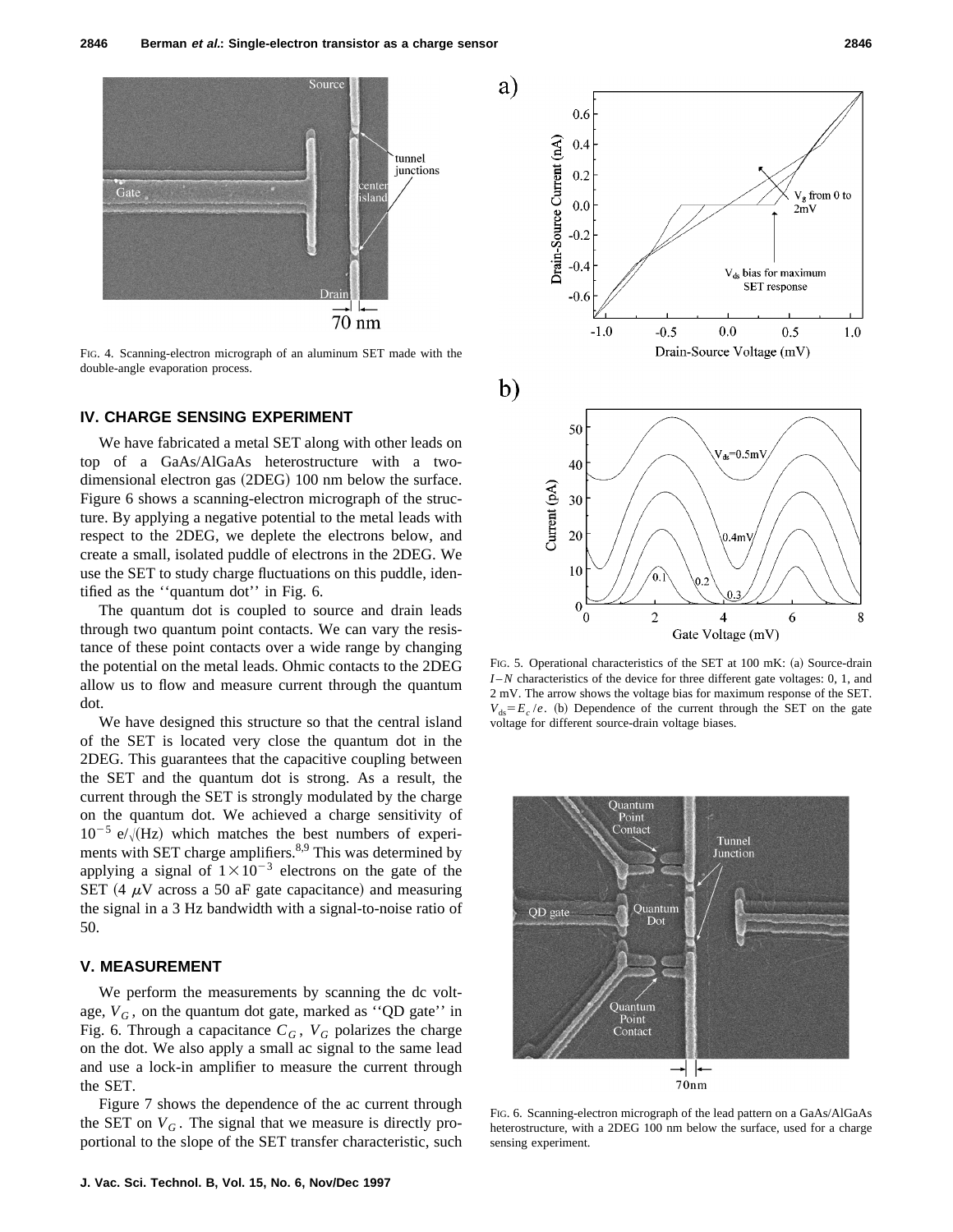

FIG. 4. Scanning-electron micrograph of an aluminum SET made with the double-angle evaporation process.

#### **IV. CHARGE SENSING EXPERIMENT**

We have fabricated a metal SET along with other leads on top of a GaAs/AlGaAs heterostructure with a twodimensional electron gas (2DEG) 100 nm below the surface. Figure 6 shows a scanning-electron micrograph of the structure. By applying a negative potential to the metal leads with respect to the 2DEG, we deplete the electrons below, and create a small, isolated puddle of electrons in the 2DEG. We use the SET to study charge fluctuations on this puddle, identified as the ''quantum dot'' in Fig. 6.

The quantum dot is coupled to source and drain leads through two quantum point contacts. We can vary the resistance of these point contacts over a wide range by changing the potential on the metal leads. Ohmic contacts to the 2DEG allow us to flow and measure current through the quantum dot.

We have designed this structure so that the central island of the SET is located very close the quantum dot in the 2DEG. This guarantees that the capacitive coupling between the SET and the quantum dot is strong. As a result, the current through the SET is strongly modulated by the charge on the quantum dot. We achieved a charge sensitivity of  $10^{-5}$  e/ $\sqrt{(Hz)}$  which matches the best numbers of experiments with SET charge amplifiers.<sup>8,9</sup> This was determined by applying a signal of  $1 \times 10^{-3}$  electrons on the gate of the SET (4  $\mu$ V across a 50 aF gate capacitance) and measuring the signal in a 3 Hz bandwidth with a signal-to-noise ratio of 50.

## **V. MEASUREMENT**

We perform the measurements by scanning the dc voltage,  $V_G$ , on the quantum dot gate, marked as "QD gate" in Fig. 6. Through a capacitance  $C_G$ ,  $V_G$  polarizes the charge on the dot. We also apply a small ac signal to the same lead and use a lock-in amplifier to measure the current through the SET.

Figure 7 shows the dependence of the ac current through the SET on  $V_G$ . The signal that we measure is directly proportional to the slope of the SET transfer characteristic, such





FIG. 5. Operational characteristics of the SET at 100 mK: (a) Source-drain *I* –*N* characteristics of the device for three different gate voltages: 0, 1, and 2 mV. The arrow shows the voltage bias for maximum response of the SET.  $V_{ds} = E_c / e$ . (b) Dependence of the current through the SET on the gate voltage for different source-drain voltage biases.



FIG. 6. Scanning-electron micrograph of the lead pattern on a GaAs/AlGaAs heterostructure, with a 2DEG 100 nm below the surface, used for a charge sensing experiment.